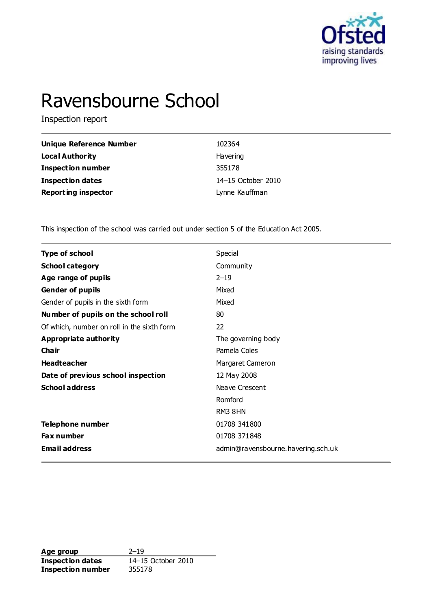

# Ravensbourne School

Inspection report

| Unique Reference Number    | 102364             |
|----------------------------|--------------------|
| Local Authority            | Havering           |
| <b>Inspection number</b>   | 355178             |
| <b>Inspection dates</b>    | 14-15 October 2010 |
| <b>Reporting inspector</b> | Lynne Kauffman     |

This inspection of the school was carried out under section 5 of the Education Act 2005.

| <b>Type of school</b>                      | Special                            |  |  |  |
|--------------------------------------------|------------------------------------|--|--|--|
| <b>School category</b>                     | Community                          |  |  |  |
| Age range of pupils                        | $2 - 19$                           |  |  |  |
| <b>Gender of pupils</b>                    | Mixed                              |  |  |  |
| Gender of pupils in the sixth form         | Mixed                              |  |  |  |
| Number of pupils on the school roll        | 80                                 |  |  |  |
| Of which, number on roll in the sixth form | 22                                 |  |  |  |
| <b>Appropriate authority</b>               | The governing body                 |  |  |  |
| Cha ir                                     | Pamela Coles                       |  |  |  |
| <b>Headteacher</b>                         | Margaret Cameron                   |  |  |  |
| Date of previous school inspection         | 12 May 2008                        |  |  |  |
| <b>School address</b>                      | Neave Crescent                     |  |  |  |
|                                            | Romford                            |  |  |  |
|                                            | RM3 8HN                            |  |  |  |
| Telephone number                           | 01708 341800                       |  |  |  |
| <b>Fax number</b>                          | 01708 371848                       |  |  |  |
| <b>Email address</b>                       | admin@ravensbourne.havering.sch.uk |  |  |  |
|                                            |                                    |  |  |  |

**Age group** 2–19<br> **Inspection dates** 14–15 October 2010 **Inspection dates Inspection number** 355178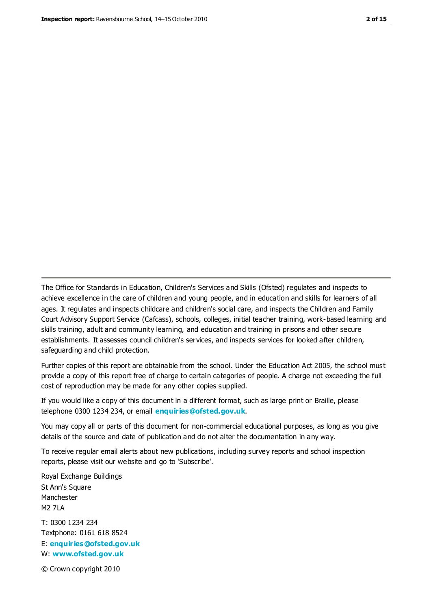The Office for Standards in Education, Children's Services and Skills (Ofsted) regulates and inspects to achieve excellence in the care of children and young people, and in education and skills for learners of all ages. It regulates and inspects childcare and children's social care, and inspects the Children and Family Court Advisory Support Service (Cafcass), schools, colleges, initial teacher training, work-based learning and skills training, adult and community learning, and education and training in prisons and other secure establishments. It assesses council children's services, and inspects services for looked after children, safeguarding and child protection.

Further copies of this report are obtainable from the school. Under the Education Act 2005, the school must provide a copy of this report free of charge to certain categories of people. A charge not exceeding the full cost of reproduction may be made for any other copies supplied.

If you would like a copy of this document in a different format, such as large print or Braille, please telephone 0300 1234 234, or email **[enquiries@ofsted.gov.uk](mailto:enquiries@ofsted.gov.uk)**.

You may copy all or parts of this document for non-commercial educational purposes, as long as you give details of the source and date of publication and do not alter the documentation in any way.

To receive regular email alerts about new publications, including survey reports and school inspection reports, please visit our website and go to 'Subscribe'.

Royal Exchange Buildings St Ann's Square Manchester M2 7LA T: 0300 1234 234 Textphone: 0161 618 8524 E: **[enquiries@ofsted.gov.uk](mailto:enquiries@ofsted.gov.uk)**

W: **[www.ofsted.gov.uk](http://www.ofsted.gov.uk/)**

© Crown copyright 2010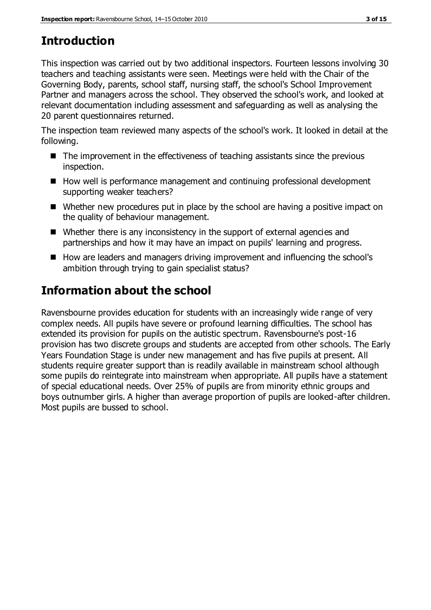# **Introduction**

This inspection was carried out by two additional inspectors. Fourteen lessons involving 30 teachers and teaching assistants were seen. Meetings were held with the Chair of the Governing Body, parents, school staff, nursing staff, the school's School Improvement Partner and managers across the school. They observed the school's work, and looked at relevant documentation including assessment and safeguarding as well as analysing the 20 parent questionnaires returned.

The inspection team reviewed many aspects of the school's work. It looked in detail at the following.

- $\blacksquare$  The improvement in the effectiveness of teaching assistants since the previous inspection.
- How well is performance management and continuing professional development supporting weaker teachers?
- Whether new procedures put in place by the school are having a positive impact on the quality of behaviour management.
- Whether there is any inconsistency in the support of external agencies and partnerships and how it may have an impact on pupils' learning and progress.
- How are leaders and managers driving improvement and influencing the school's ambition through trying to gain specialist status?

# **Information about the school**

Ravensbourne provides education for students with an increasingly wide range of very complex needs. All pupils have severe or profound learning difficulties. The school has extended its provision for pupils on the autistic spectrum. Ravensbourne's post-16 provision has two discrete groups and students are accepted from other schools. The Early Years Foundation Stage is under new management and has five pupils at present. All students require greater support than is readily available in mainstream school although some pupils do reintegrate into mainstream when appropriate. All pupils have a statement of special educational needs. Over 25% of pupils are from minority ethnic groups and boys outnumber girls. A higher than average proportion of pupils are looked-after children. Most pupils are bussed to school.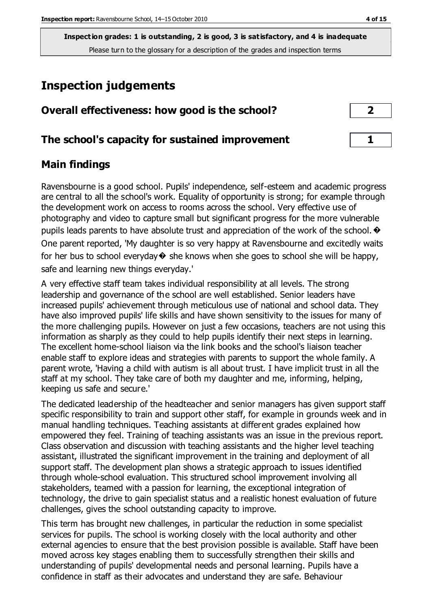# **Inspection judgements**

| Overall effectiveness: how good is the school? |  |
|------------------------------------------------|--|
|------------------------------------------------|--|

# **The school's capacity for sustained improvement 1**

## **Main findings**

Ravensbourne is a good school. Pupils' independence, self-esteem and academic progress are central to all the school's work. Equality of opportunity is strong; for example through the development work on access to rooms across the school. Very effective use of photography and video to capture small but significant progress for the more vulnerable pupils leads parents to have absolute trust and appreciation of the work of the school.  $\odot$ One parent reported, 'My daughter is so very happy at Ravensbourne and excitedly waits for her bus to school everyday $\bullet$  she knows when she goes to school she will be happy, safe and learning new things everyday.'

A very effective staff team takes individual responsibility at all levels. The strong leadership and governance of the school are well established. Senior leaders have increased pupils' achievement through meticulous use of national and school data. They have also improved pupils' life skills and have shown sensitivity to the issues for many of the more challenging pupils. However on just a few occasions, teachers are not using this information as sharply as they could to help pupils identify their next steps in learning. The excellent home-school liaison via the link books and the school's liaison teacher enable staff to explore ideas and strategies with parents to support the whole family. A parent wrote, 'Having a child with autism is all about trust. I have implicit trust in all the staff at my school. They take care of both my daughter and me, informing, helping, keeping us safe and secure.'

The dedicated leadership of the headteacher and senior managers has given support staff specific responsibility to train and support other staff, for example in grounds week and in manual handling techniques. Teaching assistants at different grades explained how empowered they feel. Training of teaching assistants was an issue in the previous report. Class observation and discussion with teaching assistants and the higher level teaching assistant, illustrated the significant improvement in the training and deployment of all support staff. The development plan shows a strategic approach to issues identified through whole-school evaluation. This structured school improvement involving all stakeholders, teamed with a passion for learning, the exceptional integration of technology, the drive to gain specialist status and a realistic honest evaluation of future challenges, gives the school outstanding capacity to improve.

This term has brought new challenges, in particular the reduction in some specialist services for pupils. The school is working closely with the local authority and other external agencies to ensure that the best provision possible is available. Staff have been moved across key stages enabling them to successfully strengthen their skills and understanding of pupils' developmental needs and personal learning. Pupils have a confidence in staff as their advocates and understand they are safe. Behaviour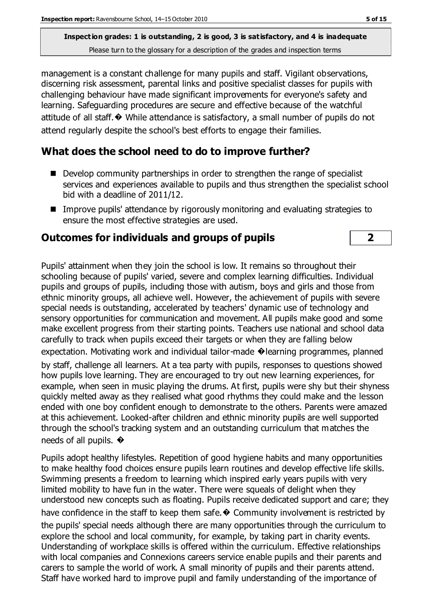management is a constant challenge for many pupils and staff. Vigilant observations, discerning risk assessment, parental links and positive specialist classes for pupils with challenging behaviour have made significant improvements for everyone's safety and learning. Safeguarding procedures are secure and effective because of the watchful attitude of all staff.� While attendance is satisfactory, a small number of pupils do not attend regularly despite the school's best efforts to engage their families.

# **What does the school need to do to improve further?**

- Develop community partnerships in order to strengthen the range of specialist services and experiences available to pupils and thus strengthen the specialist school bid with a deadline of 2011/12.
- Improve pupils' attendance by rigorously monitoring and evaluating strategies to ensure the most effective strategies are used.

# **Outcomes for individuals and groups of pupils 2**

Pupils' attainment when they join the school is low. It remains so throughout their schooling because of pupils' varied, severe and complex learning difficulties. Individual pupils and groups of pupils, including those with autism, boys and girls and those from ethnic minority groups, all achieve well. However, the achievement of pupils with severe special needs is outstanding, accelerated by teachers' dynamic use of technology and sensory opportunities for communication and movement. All pupils make good and some make excellent progress from their starting points. Teachers use national and school data carefully to track when pupils exceed their targets or when they are falling below expectation. Motivating work and individual tailor-made �learning programmes, planned

by staff, challenge all learners. At a tea party with pupils, responses to questions showed how pupils love learning. They are encouraged to try out new learning experiences, for example, when seen in music playing the drums. At first, pupils were shy but their shyness quickly melted away as they realised what good rhythms they could make and the lesson ended with one boy confident enough to demonstrate to the others. Parents were amazed at this achievement. Looked-after children and ethnic minority pupils are well supported through the school's tracking system and an outstanding curriculum that matches the needs of all pupils.  $\bullet$ 

Pupils adopt healthy lifestyles. Repetition of good hygiene habits and many opportunities to make healthy food choices ensure pupils learn routines and develop effective life skills. Swimming presents a freedom to learning which inspired early years pupils with very limited mobility to have fun in the water. There were squeals of delight when they understood new concepts such as floating. Pupils receive dedicated support and care; they have confidence in the staff to keep them safe. $\odot$  Community involvement is restricted by the pupils' special needs although there are many opportunities through the curriculum to explore the school and local community, for example, by taking part in charity events. Understanding of workplace skills is offered within the curriculum. Effective relationships with local companies and Connexions careers service enable pupils and their parents and carers to sample the world of work. A small minority of pupils and their parents attend. Staff have worked hard to improve pupil and family understanding of the importance of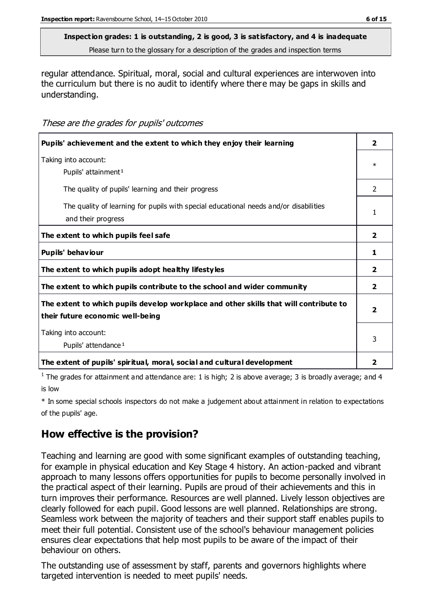# **Inspection grades: 1 is outstanding, 2 is good, 3 is satisfactory, and 4 is inadequate**

Please turn to the glossary for a description of the grades and inspection terms

regular attendance. Spiritual, moral, social and cultural experiences are interwoven into the curriculum but there is no audit to identify where there may be gaps in skills and understanding.

#### These are the grades for pupils' outcomes

| Pupils' achievement and the extent to which they enjoy their learning                                                     |               |
|---------------------------------------------------------------------------------------------------------------------------|---------------|
| Taking into account:<br>Pupils' attainment <sup>1</sup>                                                                   |               |
| The quality of pupils' learning and their progress                                                                        | $\mathcal{P}$ |
| The quality of learning for pupils with special educational needs and/or disabilities<br>and their progress               |               |
| The extent to which pupils feel safe                                                                                      |               |
| Pupils' behaviour                                                                                                         |               |
| The extent to which pupils adopt healthy lifestyles                                                                       |               |
| The extent to which pupils contribute to the school and wider community                                                   |               |
| The extent to which pupils develop workplace and other skills that will contribute to<br>their future economic well-being | 2             |
| Taking into account:<br>Pupils' attendance <sup>1</sup>                                                                   |               |
| The extent of pupils' spiritual, moral, social and cultural development                                                   | 2             |

<sup>1</sup> The grades for attainment and attendance are: 1 is high; 2 is above average; 3 is broadly average; and 4 is low

\* In some special schools inspectors do not make a judgement about attainment in relation to expectations of the pupils' age.

# **How effective is the provision?**

Teaching and learning are good with some significant examples of outstanding teaching, for example in physical education and Key Stage 4 history. An action-packed and vibrant approach to many lessons offers opportunities for pupils to become personally involved in the practical aspect of their learning. Pupils are proud of their achievements and this in turn improves their performance. Resources are well planned. Lively lesson objectives are clearly followed for each pupil. Good lessons are well planned. Relationships are strong. Seamless work between the majority of teachers and their support staff enables pupils to meet their full potential. Consistent use of the school's behaviour management policies ensures clear expectations that help most pupils to be aware of the impact of their behaviour on others.

The outstanding use of assessment by staff, parents and governors highlights where targeted intervention is needed to meet pupils' needs.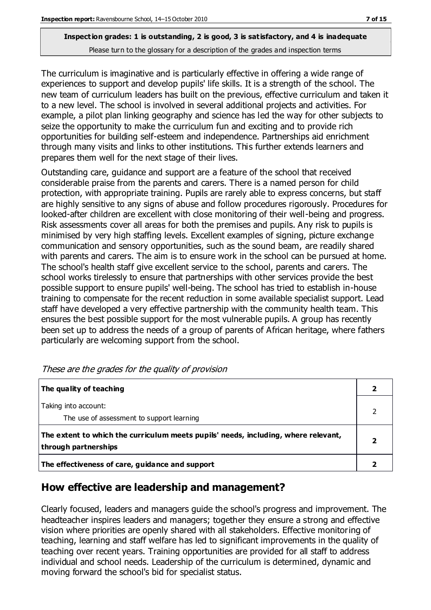The curriculum is imaginative and is particularly effective in offering a wide range of experiences to support and develop pupils' life skills. It is a strength of the school. The new team of curriculum leaders has built on the previous, effective curriculum and taken it to a new level. The school is involved in several additional projects and activities. For example, a pilot plan linking geography and science has led the way for other subjects to seize the opportunity to make the curriculum fun and exciting and to provide rich opportunities for building self-esteem and independence. Partnerships aid enrichment through many visits and links to other institutions. This further extends learners and prepares them well for the next stage of their lives.

Outstanding care, guidance and support are a feature of the school that received considerable praise from the parents and carers. There is a named person for child protection, with appropriate training. Pupils are rarely able to express concerns, but staff are highly sensitive to any signs of abuse and follow procedures rigorously. Procedures for looked-after children are excellent with close monitoring of their well-being and progress. Risk assessments cover all areas for both the premises and pupils. Any risk to pupils is minimised by very high staffing levels. Excellent examples of signing, picture exchange communication and sensory opportunities, such as the sound beam, are readily shared with parents and carers. The aim is to ensure work in the school can be pursued at home. The school's health staff give excellent service to the school, parents and carers. The school works tirelessly to ensure that partnerships with other services provide the best possible support to ensure pupils' well-being. The school has tried to establish in-house training to compensate for the recent reduction in some available specialist support. Lead staff have developed a very effective partnership with the community health team. This ensures the best possible support for the most vulnerable pupils. A group has recently been set up to address the needs of a group of parents of African heritage, where fathers particularly are welcoming support from the school.

| The quality of teaching                                                                                    |   |
|------------------------------------------------------------------------------------------------------------|---|
| Taking into account:<br>The use of assessment to support learning                                          |   |
| The extent to which the curriculum meets pupils' needs, including, where relevant,<br>through partnerships | 2 |
| The effectiveness of care, guidance and support                                                            |   |

# **How effective are leadership and management?**

Clearly focused, leaders and managers guide the school's progress and improvement. The headteacher inspires leaders and managers; together they ensure a strong and effective vision where priorities are openly shared with all stakeholders. Effective monitoring of teaching, learning and staff welfare has led to significant improvements in the quality of teaching over recent years. Training opportunities are provided for all staff to address individual and school needs. Leadership of the curriculum is determined, dynamic and moving forward the school's bid for specialist status.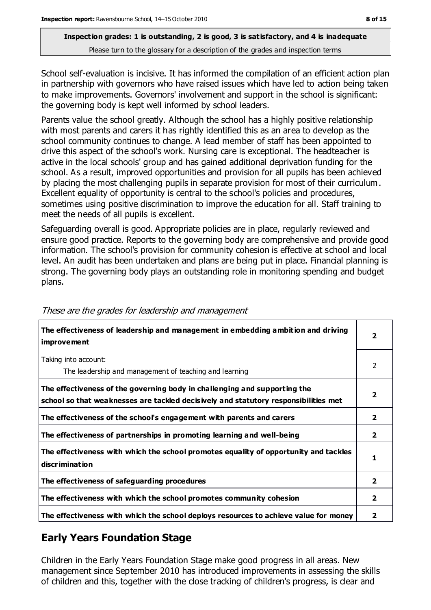School self-evaluation is incisive. It has informed the compilation of an efficient action plan in partnership with governors who have raised issues which have led to action being taken to make improvements. Governors' involvement and support in the school is significant: the governing body is kept well informed by school leaders.

Parents value the school greatly. Although the school has a highly positive relationship with most parents and carers it has rightly identified this as an area to develop as the school community continues to change. A lead member of staff has been appointed to drive this aspect of the school's work. Nursing care is exceptional. The headteacher is active in the local schools' group and has gained additional deprivation funding for the school. As a result, improved opportunities and provision for all pupils has been achieved by placing the most challenging pupils in separate provision for most of their curriculum. Excellent equality of opportunity is central to the school's policies and procedures, sometimes using positive discrimination to improve the education for all. Staff training to meet the needs of all pupils is excellent.

Safeguarding overall is good. Appropriate policies are in place, regularly reviewed and ensure good practice. Reports to the governing body are comprehensive and provide good information. The school's provision for community cohesion is effective at school and local level. An audit has been undertaken and plans are being put in place. Financial planning is strong. The governing body plays an outstanding role in monitoring spending and budget plans.

| The effectiveness of leadership and management in embedding ambition and driving<br>improvement                                                                  |                         |
|------------------------------------------------------------------------------------------------------------------------------------------------------------------|-------------------------|
| Taking into account:<br>The leadership and management of teaching and learning                                                                                   | 2                       |
| The effectiveness of the governing body in challenging and supporting the<br>school so that weaknesses are tackled decisively and statutory responsibilities met | $\overline{\mathbf{2}}$ |
| The effectiveness of the school's engagement with parents and carers                                                                                             | $\overline{2}$          |
| The effectiveness of partnerships in promoting learning and well-being                                                                                           | $\mathbf{2}$            |
| The effectiveness with which the school promotes equality of opportunity and tackles<br>discrimination                                                           | 1                       |
| The effectiveness of safeguarding procedures                                                                                                                     | $\overline{2}$          |
| The effectiveness with which the school promotes community cohesion                                                                                              |                         |
| The effectiveness with which the school deploys resources to achieve value for money                                                                             | 2                       |

#### These are the grades for leadership and management

# **Early Years Foundation Stage**

Children in the Early Years Foundation Stage make good progress in all areas. New management since September 2010 has introduced improvements in assessing the skills of children and this, together with the close tracking of children's progress, is clear and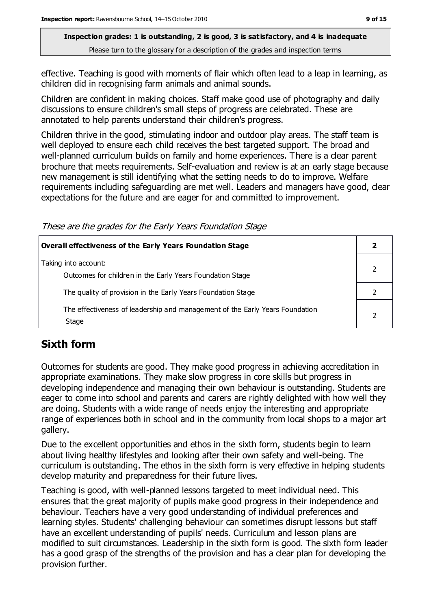effective. Teaching is good with moments of flair which often lead to a leap in learning, as children did in recognising farm animals and animal sounds.

Children are confident in making choices. Staff make good use of photography and daily discussions to ensure children's small steps of progress are celebrated. These are annotated to help parents understand their children's progress.

Children thrive in the good, stimulating indoor and outdoor play areas. The staff team is well deployed to ensure each child receives the best targeted support. The broad and well-planned curriculum builds on family and home experiences. There is a clear parent brochure that meets requirements. Self-evaluation and review is at an early stage because new management is still identifying what the setting needs to do to improve. Welfare requirements including safeguarding are met well. Leaders and managers have good, clear expectations for the future and are eager for and committed to improvement.

These are the grades for the Early Years Foundation Stage

| <b>Overall effectiveness of the Early Years Foundation Stage</b>                      |  |
|---------------------------------------------------------------------------------------|--|
| Taking into account:<br>Outcomes for children in the Early Years Foundation Stage     |  |
| The quality of provision in the Early Years Foundation Stage                          |  |
| The effectiveness of leadership and management of the Early Years Foundation<br>Stage |  |

# **Sixth form**

Outcomes for students are good. They make good progress in achieving accreditation in appropriate examinations. They make slow progress in core skills but progress in developing independence and managing their own behaviour is outstanding. Students are eager to come into school and parents and carers are rightly delighted with how well they are doing. Students with a wide range of needs enjoy the interesting and appropriate range of experiences both in school and in the community from local shops to a major art gallery.

Due to the excellent opportunities and ethos in the sixth form, students begin to learn about living healthy lifestyles and looking after their own safety and well-being. The curriculum is outstanding. The ethos in the sixth form is very effective in helping students develop maturity and preparedness for their future lives.

Teaching is good, with well-planned lessons targeted to meet individual need. This ensures that the great majority of pupils make good progress in their independence and behaviour. Teachers have a very good understanding of individual preferences and learning styles. Students' challenging behaviour can sometimes disrupt lessons but staff have an excellent understanding of pupils' needs. Curriculum and lesson plans are modified to suit circumstances. Leadership in the sixth form is good. The sixth form leader has a good grasp of the strengths of the provision and has a clear plan for developing the provision further.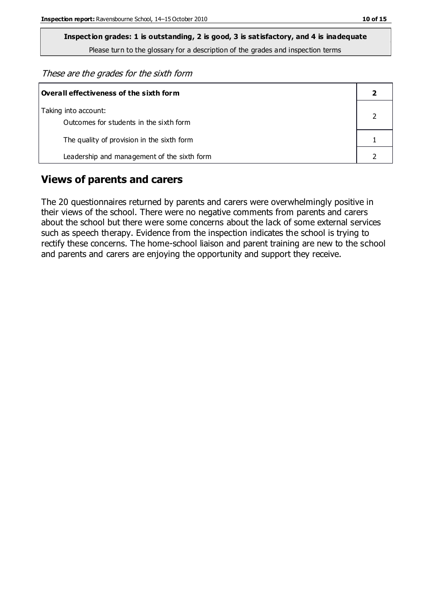These are the grades for the sixth form

| Overall effectiveness of the sixth form                         |  |  |
|-----------------------------------------------------------------|--|--|
| Taking into account:<br>Outcomes for students in the sixth form |  |  |
| The quality of provision in the sixth form                      |  |  |
| Leadership and management of the sixth form                     |  |  |

### **Views of parents and carers**

The 20 questionnaires returned by parents and carers were overwhelmingly positive in their views of the school. There were no negative comments from parents and carers about the school but there were some concerns about the lack of some external services such as speech therapy. Evidence from the inspection indicates the school is trying to rectify these concerns. The home-school liaison and parent training are new to the school and parents and carers are enjoying the opportunity and support they receive.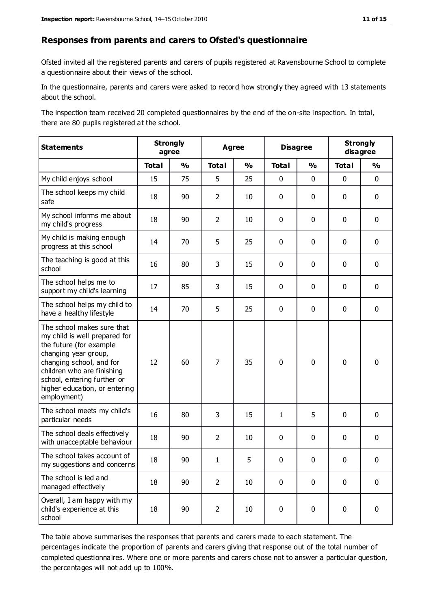#### **Responses from parents and carers to Ofsted's questionnaire**

Ofsted invited all the registered parents and carers of pupils registered at Ravensbourne School to complete a questionnaire about their views of the school.

In the questionnaire, parents and carers were asked to record how strongly they agreed with 13 statements about the school.

The inspection team received 20 completed questionnaires by the end of the on-site inspection. In total, there are 80 pupils registered at the school.

| <b>Statements</b>                                                                                                                                                                                                                                       |              | <b>Strongly</b><br>agree |                | <b>Agree</b>            |              | <b>Disagree</b> |              | <b>Strongly</b><br>disagree |
|---------------------------------------------------------------------------------------------------------------------------------------------------------------------------------------------------------------------------------------------------------|--------------|--------------------------|----------------|-------------------------|--------------|-----------------|--------------|-----------------------------|
|                                                                                                                                                                                                                                                         | <b>Total</b> | $\frac{1}{2}$            | <b>Total</b>   | $\mathbf{O}/\mathbf{O}$ | <b>Total</b> | $\frac{1}{2}$   | <b>Total</b> | $\frac{1}{2}$               |
| My child enjoys school                                                                                                                                                                                                                                  | 15           | 75                       | 5              | 25                      | 0            | $\mathbf 0$     | $\mathbf 0$  | $\mathbf 0$                 |
| The school keeps my child<br>safe                                                                                                                                                                                                                       | 18           | 90                       | $\overline{2}$ | 10                      | 0            | $\mathbf 0$     | $\mathbf 0$  | $\mathbf 0$                 |
| My school informs me about<br>my child's progress                                                                                                                                                                                                       | 18           | 90                       | $\overline{2}$ | 10                      | 0            | 0               | $\mathbf 0$  | $\mathbf 0$                 |
| My child is making enough<br>progress at this school                                                                                                                                                                                                    | 14           | 70                       | 5              | 25                      | 0            | 0               | $\mathbf 0$  | $\pmb{0}$                   |
| The teaching is good at this<br>school                                                                                                                                                                                                                  | 16           | 80                       | 3              | 15                      | 0            | 0               | $\mathbf 0$  | $\mathbf 0$                 |
| The school helps me to<br>support my child's learning                                                                                                                                                                                                   | 17           | 85                       | 3              | 15                      | 0            | $\mathbf{0}$    | 0            | $\mathbf 0$                 |
| The school helps my child to<br>have a healthy lifestyle                                                                                                                                                                                                | 14           | 70                       | 5              | 25                      | 0            | 0               | $\mathbf 0$  | $\mathbf 0$                 |
| The school makes sure that<br>my child is well prepared for<br>the future (for example<br>changing year group,<br>changing school, and for<br>children who are finishing<br>school, entering further or<br>higher education, or entering<br>employment) | 12           | 60                       | 7              | 35                      | $\mathbf 0$  | $\mathbf 0$     | $\mathbf 0$  | $\mathbf 0$                 |
| The school meets my child's<br>particular needs                                                                                                                                                                                                         | 16           | 80                       | 3              | 15                      | 1            | 5               | $\mathbf 0$  | $\mathbf 0$                 |
| The school deals effectively<br>with unacceptable behaviour                                                                                                                                                                                             | 18           | 90                       | $\overline{2}$ | 10                      | 0            | 0               | 0            | $\pmb{0}$                   |
| The school takes account of<br>my suggestions and concerns                                                                                                                                                                                              | 18           | 90                       | 1              | 5                       | $\Omega$     | $\Omega$        | $\Omega$     | $\Omega$                    |
| The school is led and<br>managed effectively                                                                                                                                                                                                            | 18           | 90                       | $\overline{2}$ | 10                      | $\pmb{0}$    | $\mathbf 0$     | $\mathbf 0$  | $\mathbf 0$                 |
| Overall, I am happy with my<br>child's experience at this<br>school                                                                                                                                                                                     | 18           | 90                       | $\overline{2}$ | 10                      | 0            | 0               | $\mathbf 0$  | $\pmb{0}$                   |

The table above summarises the responses that parents and carers made to each statement. The percentages indicate the proportion of parents and carers giving that response out of the total number of completed questionnaires. Where one or more parents and carers chose not to answer a particular question, the percentages will not add up to 100%.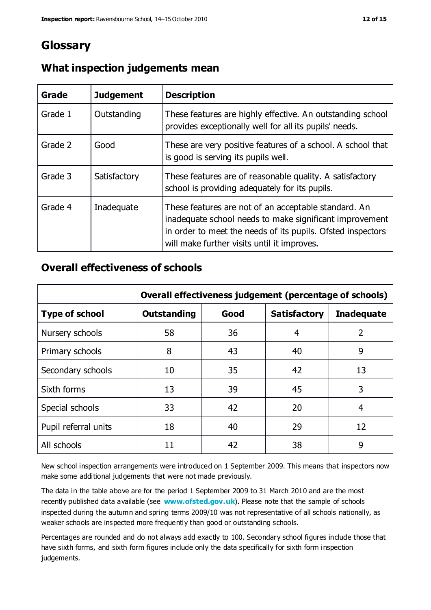# **Glossary**

| Grade   | <b>Judgement</b> | <b>Description</b>                                                                                                                                                                                                            |
|---------|------------------|-------------------------------------------------------------------------------------------------------------------------------------------------------------------------------------------------------------------------------|
| Grade 1 | Outstanding      | These features are highly effective. An outstanding school<br>provides exceptionally well for all its pupils' needs.                                                                                                          |
| Grade 2 | Good             | These are very positive features of a school. A school that<br>is good is serving its pupils well.                                                                                                                            |
| Grade 3 | Satisfactory     | These features are of reasonable quality. A satisfactory<br>school is providing adequately for its pupils.                                                                                                                    |
| Grade 4 | Inadequate       | These features are not of an acceptable standard. An<br>inadequate school needs to make significant improvement<br>in order to meet the needs of its pupils. Ofsted inspectors<br>will make further visits until it improves. |

## **What inspection judgements mean**

## **Overall effectiveness of schools**

|                       | Overall effectiveness judgement (percentage of schools) |      |                     |                   |  |
|-----------------------|---------------------------------------------------------|------|---------------------|-------------------|--|
| <b>Type of school</b> | <b>Outstanding</b>                                      | Good | <b>Satisfactory</b> | <b>Inadequate</b> |  |
| Nursery schools       | 58                                                      | 36   | 4                   | 2                 |  |
| Primary schools       | 8                                                       | 43   | 40                  | 9                 |  |
| Secondary schools     | 10                                                      | 35   | 42                  | 13                |  |
| Sixth forms           | 13                                                      | 39   | 45                  | 3                 |  |
| Special schools       | 33                                                      | 42   | 20                  | 4                 |  |
| Pupil referral units  | 18                                                      | 40   | 29                  | 12                |  |
| All schools           | 11                                                      | 42   | 38                  | 9                 |  |

New school inspection arrangements were introduced on 1 September 2009. This means that inspectors now make some additional judgements that were not made previously.

The data in the table above are for the period 1 September 2009 to 31 March 2010 and are the most recently published data available (see **[www.ofsted.gov.uk](http://www.ofsted.gov.uk/)**). Please note that the sample of schools inspected during the autumn and spring terms 2009/10 was not representative of all schools nationally, as weaker schools are inspected more frequently than good or outstanding schools.

Percentages are rounded and do not always add exactly to 100. Secondary school figures include those that have sixth forms, and sixth form figures include only the data specifically for sixth form inspection judgements.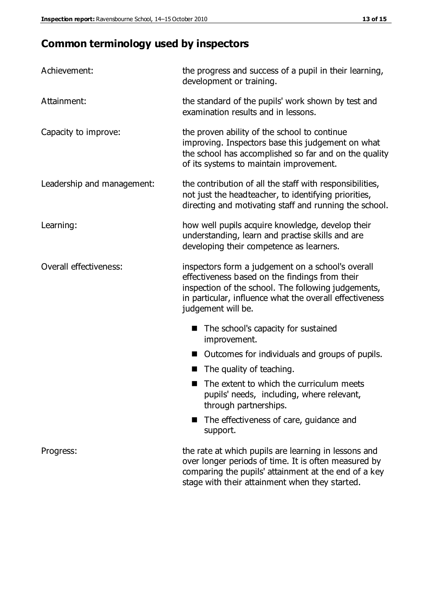# **Common terminology used by inspectors**

| Achievement:                  | the progress and success of a pupil in their learning,<br>development or training.                                                                                                                                                          |
|-------------------------------|---------------------------------------------------------------------------------------------------------------------------------------------------------------------------------------------------------------------------------------------|
| Attainment:                   | the standard of the pupils' work shown by test and<br>examination results and in lessons.                                                                                                                                                   |
| Capacity to improve:          | the proven ability of the school to continue<br>improving. Inspectors base this judgement on what<br>the school has accomplished so far and on the quality<br>of its systems to maintain improvement.                                       |
| Leadership and management:    | the contribution of all the staff with responsibilities,<br>not just the headteacher, to identifying priorities,<br>directing and motivating staff and running the school.                                                                  |
| Learning:                     | how well pupils acquire knowledge, develop their<br>understanding, learn and practise skills and are<br>developing their competence as learners.                                                                                            |
| <b>Overall effectiveness:</b> | inspectors form a judgement on a school's overall<br>effectiveness based on the findings from their<br>inspection of the school. The following judgements,<br>in particular, influence what the overall effectiveness<br>judgement will be. |
|                               | The school's capacity for sustained<br>improvement.                                                                                                                                                                                         |
|                               | Outcomes for individuals and groups of pupils.                                                                                                                                                                                              |
|                               | The quality of teaching.                                                                                                                                                                                                                    |
|                               | The extent to which the curriculum meets<br>pupils' needs, including, where relevant,<br>through partnerships.                                                                                                                              |
|                               | The effectiveness of care, guidance and<br>support.                                                                                                                                                                                         |
| Progress:                     | the rate at which pupils are learning in lessons and<br>over longer periods of time. It is often measured by<br>comparing the pupils' attainment at the end of a key                                                                        |

stage with their attainment when they started.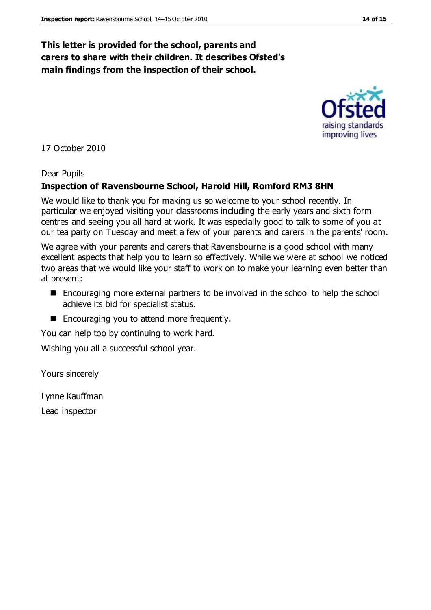### **This letter is provided for the school, parents and carers to share with their children. It describes Ofsted's main findings from the inspection of their school.**

17 October 2010

#### Dear Pupils

#### **Inspection of Ravensbourne School, Harold Hill, Romford RM3 8HN**

We would like to thank you for making us so welcome to your school recently. In particular we enjoyed visiting your classrooms including the early years and sixth form centres and seeing you all hard at work. It was especially good to talk to some of you at our tea party on Tuesday and meet a few of your parents and carers in the parents' room.

We agree with your parents and carers that Ravensbourne is a good school with many excellent aspects that help you to learn so effectively. While we were at school we noticed two areas that we would like your staff to work on to make your learning even better than at present:

- Encouraging more external partners to be involved in the school to help the school achieve its bid for specialist status.
- Encouraging you to attend more frequently.

You can help too by continuing to work hard.

Wishing you all a successful school year.

Yours sincerely

Lynne Kauffman Lead inspector